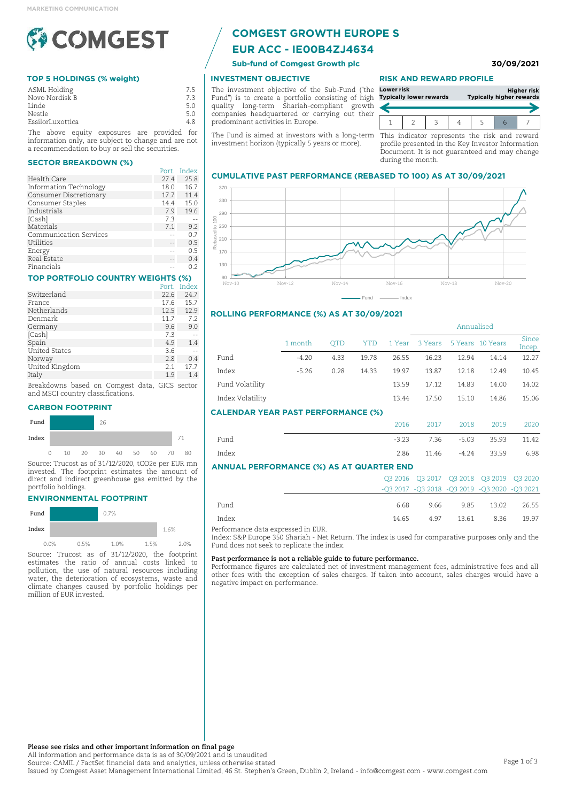

## **TOP 5 HOLDINGS (% weight)**

| ASML Holding     |   | 7.5 |
|------------------|---|-----|
| Novo Nordisk B   |   | 7.3 |
| Linde            |   | 5.0 |
| Nestle           |   | 5.0 |
| EssilorLuxottica |   | 4.8 |
|                  | . |     |

The above equity exposures are provided for information only, are subject to change and are not a recommendation to buy or sell the securities.

#### **SECTOR BREAKDOWN (%)**

|                        | Port. | Index |
|------------------------|-------|-------|
| Health Care            | 27.4  | 25.8  |
| Information Technology | 18.0  | 16.7  |
| Consumer Discretionary | 17.7  | 11.4  |
| Consumer Staples       | 14.4  | 15.0  |
| Industrials            | 7.9   | 19.6  |
| [Cash]                 | 7.3   |       |
| Materials              | 7.1   | 9.2   |
| Communication Services |       | 0.7   |
| Utilities              |       | 0.5   |
| Energy                 |       | 0.5   |
| Real Estate            |       | 0.4   |
| Financials             |       | 0.2   |

#### **TOP PORTFOLIO COUNTRY WEIGHTS (%)**

|                      | Port. | Index |
|----------------------|-------|-------|
| Switzerland          | 22.6  | 24.7  |
| France               | 17.6  | 15.7  |
| Netherlands          | 12.5  | 12.9  |
| Denmark              | 11.7  | 7.2   |
| Germany              | 9.6   | 9.0   |
| [Cash]               | 7.3   |       |
| Spain                | 4.9   | 1.4   |
| <b>United States</b> | 3.6   |       |
| Norway               | 2.8   | 0.4   |
| United Kingdom       | 2.1   | 17.7  |
| Italy                | 1.9   | 1.4   |
|                      |       |       |

Breakdowns based on Comgest data, GICS sector and MSCI country classifications.

#### **CARBON FOOTPRINT**



Source: Trucost as of 31/12/2020, tCO2e per EUR mn invested. The footprint estimates the amount of direct and indirect greenhouse gas emitted by the portfolio holdings.

#### **ENVIRONMENTAL FOOTPRINT**

| Fund  |      |      | 0.7% |      |      |      |
|-------|------|------|------|------|------|------|
| Index |      |      |      |      | 1.6% |      |
|       | 0.0% | 0.5% | 1.0% | 1.5% |      | 2.0% |

Source: Trucost as of 31/12/2020, the footprint estimates the ratio of annual costs linked to pollution, the use of natural resources including water, the deterioration of ecosystems, waste and climate changes caused by portfolio holdings per million of EUR invested.

# **COMGEST GROWTH EUROPE S**

# **EUR ACC - IE00B4ZJ4634**

# **INVESTMENT OBJECTIVE**

The investment objective of the Sub-Fund ("the Fund") is to create a portfolio consisting of high quality long-term Shariah-compliant growth companies headquartered or carrying out their predominant activities in Europe.

The Fund is aimed at investors with a long-term This indicator represents the risk and reward investment horizon (typically 5 years or more).

#### **RISK AND REWARD PROFILE**

| Lower risk | <b>Typically lower rewards</b> |  | <b>Typically higher rewards</b> | <b>Higher risk</b> |
|------------|--------------------------------|--|---------------------------------|--------------------|
|            |                                |  |                                 |                    |

profile presented in the Key Investor Information Document. It is not guaranteed and may change during the month.

Annualised

#### **CUMULATIVE PAST PERFORMANCE (REBASED TO 100) AS AT 30/09/2021**



## **ROLLING PERFORMANCE (%) AS AT 30/09/2021**

|                                           | 1 month | <b>OTD</b> | <b>YTD</b> | 1 Year  | 3 Years |         | 5 Years 10 Years | Since<br>Incep. |
|-------------------------------------------|---------|------------|------------|---------|---------|---------|------------------|-----------------|
| Fund                                      | $-4.20$ | 4.33       | 19.78      | 26.55   | 16.23   | 12.94   | 14.14            | 12.27           |
| Index                                     | $-5.26$ | 0.28       | 14.33      | 19.97   | 13.87   | 12.18   | 12.49            | 10.45           |
| Fund Volatility                           |         |            |            | 13.59   | 17.12   | 14.83   | 14.00            | 14.02           |
| Index Volatility                          |         |            |            | 13.44   | 17.50   | 15.10   | 14.86            | 15.06           |
| <b>CALENDAR YEAR PAST PERFORMANCE (%)</b> |         |            |            |         |         |         |                  |                 |
|                                           |         |            |            | 2016    | 2017    | 2018    | 2019             | 2020            |
| Fund                                      |         |            |            | $-3.23$ | 7.36    | $-5.03$ | 35.93            | 11.42           |
| Index                                     |         |            |            | 2.86    | 11.46   | $-4.24$ | 33.59            | 6.98            |

Fund - Index

#### **ANNUAL PERFORMANCE (%) AS AT QUARTER END**

|       |                                                | 03 2016 03 2017 03 2018 03 2019 03 2020 |                       |       |
|-------|------------------------------------------------|-----------------------------------------|-----------------------|-------|
|       | $-Q3 2017 -Q3 2018 -Q3 2019 -Q3 2020 -Q3 2021$ |                                         |                       |       |
| Fund  | 6.68                                           |                                         | 9.66 9.85 13.02 26.55 |       |
| Index | 14.65                                          |                                         | 4.97 13.61 8.36       | 19.97 |

Performance data expressed in EUR.

Index: S&P Europe 350 Shariah - Net Return. The index is used for comparative purposes only and the Fund does not seek to replicate the index.

#### **Past performance is not a reliable guide to future performance.**

Performance figures are calculated net of investment management fees, administrative fees and all other fees with the exception of sales charges. If taken into account, sales charges would have a negative impact on performance.

**Please see risks and other important information on final page**

All information and performance data is as of 30/09/2021 and is unaudited Source: CAMIL / FactSet financial data and analytics, unless otherwise stated Issued by Comgest Asset Management International Limited, 46 St. Stephen's Green, Dublin 2, Ireland - info@comgest.com - www.comgest.com

**Sub-fund of Comgest Growth plc 30/09/2021**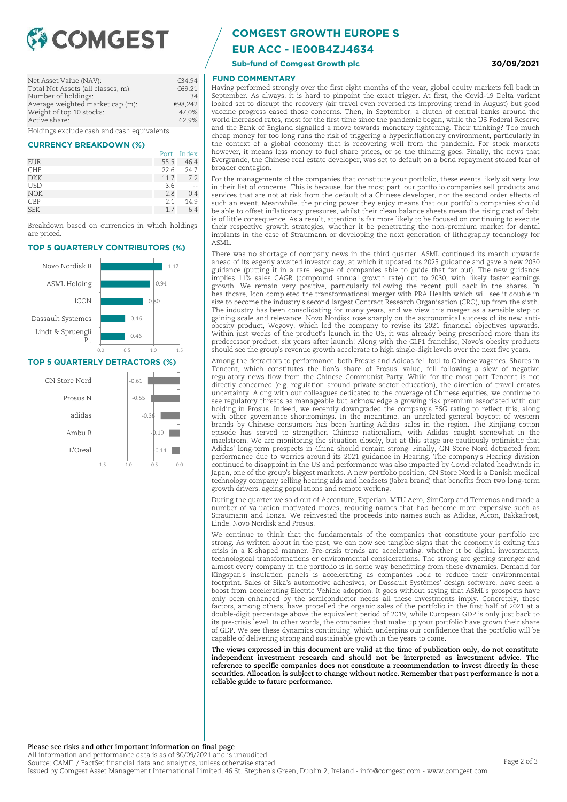

| Net Asset Value (NAV):                      | €34.94  |
|---------------------------------------------|---------|
| Total Net Assets (all classes, m):          | €69.21  |
| Number of holdings:                         | 34      |
| Average weighted market cap (m):            | €98,242 |
| Weight of top 10 stocks:                    | 47.0%   |
| Active share:                               | 62.9%   |
| Holdings exclude cash and cash equivalents. |         |

**CURRENCY BREAKDOWN (%)**

|            |      | Port. Index |
|------------|------|-------------|
| EUR        | 55.5 | 46.4        |
| <b>CHF</b> | 22.6 | 24.7        |
| <b>DKK</b> | 11.7 | 7.2         |
| <b>USD</b> | 3.6  |             |
| <b>NOK</b> | 2.8  | 0.4         |
| GBP        | 2.1  | 14.9        |
| <b>SEK</b> | 17   | 6.4         |
|            |      |             |

Breakdown based on currencies in which holdings are priced.

#### **TOP 5 QUARTERLY CONTRIBUTORS (%)**



#### **TOP 5 QUARTERLY DETRACTORS (%)**



# **COMGEST GROWTH EUROPE S**

**EUR ACC - IE00B4ZJ4634**

**Sub-fund of Comgest Growth plc 30/09/2021**

## **FUND COMMENTARY**

Having performed strongly over the first eight months of the year, global equity markets fell back in September. As always, it is hard to pinpoint the exact trigger. At first, the Covid-19 Delta variant looked set to disrupt the recovery (air travel even reversed its improving trend in August) but good vaccine progress eased those concerns. Then, in September, a clutch of central banks around the world increased rates, most for the first time since the pandemic began, while the US Federal Reserve and the Bank of England signalled a move towards monetary tightening. Their thinking? Too much cheap money for too long runs the risk of triggering a hyperinflationary environment, particularly in the context of a global economy that is recovering well from the pandemic. For stock markets however, it means less money to fuel share prices, or so the thinking goes. Finally, the news that Evergrande, the Chinese real estate developer, was set to default on a bond repayment stoked fear of broader contagion.

For the managements of the companies that constitute your portfolio, these events likely sit very low in their list of concerns. This is because, for the most part, our portfolio companies sell products and services that are not at risk from the default of a Chinese developer, nor the second order effects of such an event. Meanwhile, the pricing power they enjoy means that our portfolio companies should be able to offset inflationary pressures, whilst their clean balance sheets mean the rising cost of debt is of little consequence. As a result, attention is far more likely to be focused on continuing to execute their respective growth strategies, whether it be penetrating the non-premium market for dental implants in the case of Straumann or developing the next generation of lithography technology for ASML.

There was no shortage of company news in the third quarter. ASML continued its march upwards ahead of its eagerly awaited investor day, at which it updated its 2025 guidance and gave a new 2030 guidance (putting it in a rare league of companies able to guide that far out). The new guidance implies 11% sales CAGR (compound annual growth rate) out to 2030, with likely faster earnings growth. We remain very positive, particularly following the recent pull back in the shares. In healthcare, Icon completed the transformational merger with PRA Health which will see it double in size to become the industry's second largest Contract Research Organisation (CRO), up from the sixth. The industry has been consolidating for many years, and we view this merger as a sensible step to gaining scale and relevance. Novo Nordisk rose sharply on the astronomical success of its new antiobesity product, Wegovy, which led the company to revise its 2021 financial objectives upwards. Within just weeks of the product's launch in the US, it was already being prescribed more than its predecessor product, six years after launch! Along with the GLP1 franchise, Novo's obesity products should see the group's revenue growth accelerate to high single-digit levels over the next five years.

Among the detractors to performance, both Prosus and Adidas fell foul to Chinese vagaries. Shares in Tencent, which constitutes the lion's share of Prosus' value, fell following a slew of negative regulatory news flow from the Chinese Communist Party. While for the most part Tencent is not directly concerned (e.g. regulation around private sector education), the direction of travel creates uncertainty. Along with our colleagues dedicated to the coverage of Chinese equities, we continue to see regulatory threats as manageable but acknowledge a growing risk premium associated with our holding in Prosus. Indeed, we recently downgraded the company's ESG rating to reflect this, along with other governance shortcomings. In the meantime, an unrelated general boycott of western brands by Chinese consumers has been hurting Adidas' sales in the region. The Xinjiang cotton episode has served to strengthen Chinese nationalism, with Adidas caught somewhat in the maelstrom. We are monitoring the situation closely, but at this stage are cautiously optimistic that Adidas' long-term prospects in China should remain strong. Finally, GN Store Nord detracted from performance due to worries around its 2021 guidance in Hearing. The company's Hearing division continued to disappoint in the US and performance was also impacted by Covid-related headwinds in Japan, one of the group's biggest markets. A new portfolio position, GN Store Nord is a Danish medical technology company selling hearing aids and headsets (Jabra brand) that benefits from two long-term growth drivers: ageing populations and remote working.

During the quarter we sold out of Accenture, Experian, MTU Aero, SimCorp and Temenos and made a number of valuation motivated moves, reducing names that had become more expensive such as Straumann and Lonza. We reinvested the proceeds into names such as Adidas, Alcon, Bakkafrost, Linde, Novo Nordisk and Prosus.

We continue to think that the fundamentals of the companies that constitute your portfolio are strong. As written about in the past, we can now see tangible signs that the economy is exiting this crisis in a K-shaped manner. Pre-crisis trends are accelerating, whether it be digital investments, technological transformations or environmental considerations. The strong are getting stronger and almost every company in the portfolio is in some way benefitting from these dynamics. Demand for Kingspan's insulation panels is accelerating as companies look to reduce their environmental footprint. Sales of Sika's automotive adhesives, or Dassault Systèmes' design software, have seen a boost from accelerating Electric Vehicle adoption. It goes without saying that ASML's prospects have only been enhanced by the semiconductor needs all these investments imply. Concretely, these factors, among others, have propelled the organic sales of the portfolio in the first half of 2021 at a double-digit percentage above the equivalent period of 2019, while European GDP is only just back to its pre-crisis level. In other words, the companies that make up your portfolio have grown their share of GDP. We see these dynamics continuing, which underpins our confidence that the portfolio will be capable of delivering strong and sustainable growth in the years to come.

**The views expressed in this document are valid at the time of publication only, do not constitute independent investment research and should not be interpreted as investment advice. The reference to specific companies does not constitute a recommendation to invest directly in these securities. Allocation is subject to change without notice. Remember that past performance is not a reliable guide to future performance.**

**Please see risks and other important information on final page**